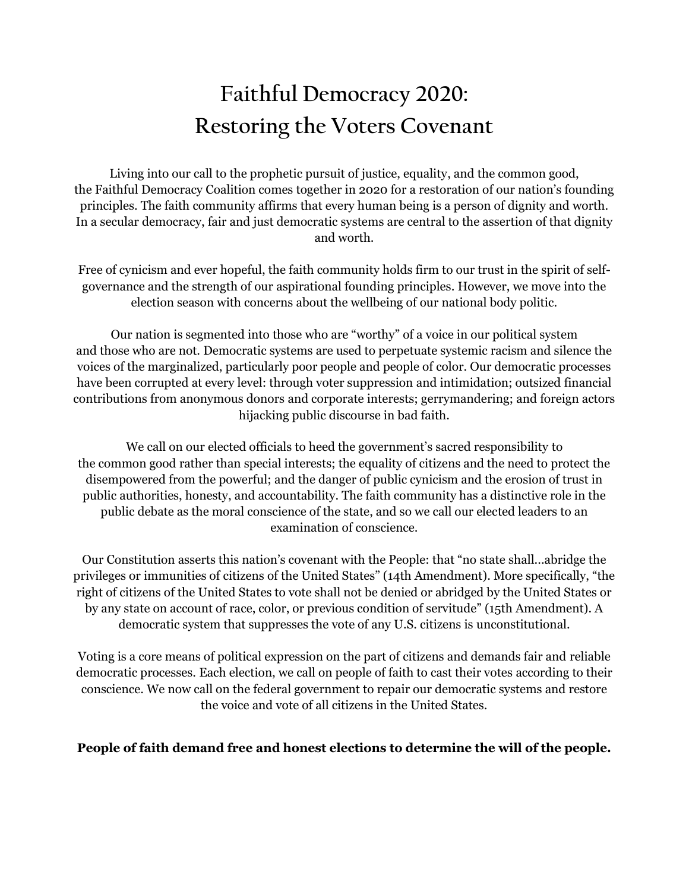## **Faithful Democracy 2020: Restoring the Voters Covenant**

Living into our call to the prophetic pursuit of justice, equality, and the common good, the Faithful Democracy Coalition comes together in 2020 for a restoration of our nation's founding principles. The faith community affirms that every human being is a person of dignity and worth. In a secular democracy, fair and just democratic systems are central to the assertion of that dignity and worth.

Free of cynicism and ever hopeful, the faith community holds firm to our trust in the spirit of selfgovernance and the strength of our aspirational founding principles. However, we move into the election season with concerns about the wellbeing of our national body politic.

Our nation is segmented into those who are "worthy" of a voice in our political system and those who are not. Democratic systems are used to perpetuate systemic racism and silence the voices of the marginalized, particularly poor people and people of color. Our democratic processes have been corrupted at every level: through voter suppression and intimidation; outsized financial contributions from anonymous donors and corporate interests; gerrymandering; and foreign actors hijacking public discourse in bad faith.

We call on our elected officials to heed the government's sacred responsibility to the common good rather than special interests; the equality of citizens and the need to protect the disempowered from the powerful; and the danger of public cynicism and the erosion of trust in public authorities, honesty, and accountability. The faith community has a distinctive role in the public debate as the moral conscience of the state, and so we call our elected leaders to an examination of conscience.

Our Constitution asserts this nation's covenant with the People: that "no state shall...abridge the privileges or immunities of citizens of the United States" (14th Amendment). More specifically, "the right of citizens of the United States to vote shall not be denied or abridged by the United States or by any state on account of race, color, or previous condition of servitude" (15th Amendment). A democratic system that suppresses the vote of any U.S. citizens is unconstitutional.

Voting is a core means of political expression on the part of citizens and demands fair and reliable democratic processes. Each election, we call on people of faith to cast their votes according to their conscience. We now call on the federal government to repair our democratic systems and restore the voice and vote of all citizens in the United States.

**People of faith demand free and honest elections to determine the will of the people.**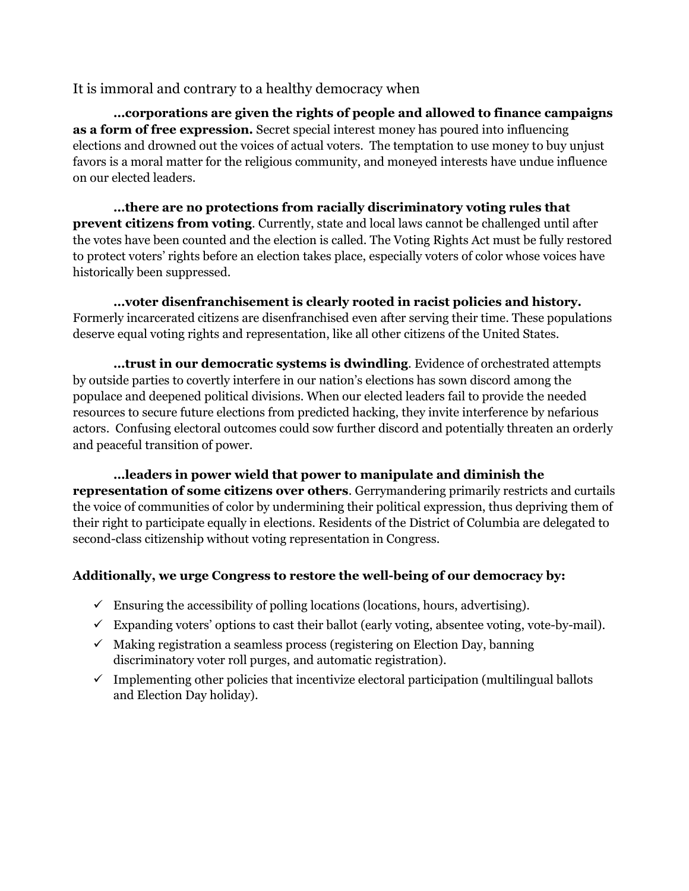## It is immoral and contrary to a healthy democracy when

**…corporations are given the rights of people and allowed to finance campaigns as a form of free expression.** Secret special interest money has poured into influencing elections and drowned out the voices of actual voters. The temptation to use money to buy unjust favors is a moral matter for the religious community, and moneyed interests have undue influence on our elected leaders.

**…there are no protections from racially discriminatory voting rules that prevent citizens from voting**. Currently, state and local laws cannot be challenged until after the votes have been counted and the election is called. The Voting Rights Act must be fully restored to protect voters' rights before an election takes place, especially voters of color whose voices have historically been suppressed.

**…voter disenfranchisement is clearly rooted in racist policies and history.** Formerly incarcerated citizens are disenfranchised even after serving their time. These populations deserve equal voting rights and representation, like all other citizens of the United States.

**…trust in our democratic systems is dwindling**. Evidence of orchestrated attempts by outside parties to covertly interfere in our nation's elections has sown discord among the populace and deepened political divisions. When our elected leaders fail to provide the needed resources to secure future elections from predicted hacking, they invite interference by nefarious actors. Confusing electoral outcomes could sow further discord and potentially threaten an orderly and peaceful transition of power.

**…leaders in power wield that power to manipulate and diminish the representation of some citizens over others**. Gerrymandering primarily restricts and curtails the voice of communities of color by undermining their political expression, thus depriving them of their right to participate equally in elections. Residents of the District of Columbia are delegated to second-class citizenship without voting representation in Congress.

## **Additionally, we urge Congress to restore the well-being of our democracy by:**

- $\checkmark$  Ensuring the accessibility of polling locations (locations, hours, advertising).
- $\checkmark$  Expanding voters' options to cast their ballot (early voting, absentee voting, vote-by-mail).
- $\checkmark$  Making registration a seamless process (registering on Election Day, banning discriminatory voter roll purges, and automatic registration).
- $\checkmark$  Implementing other policies that incentivize electoral participation (multilingual ballots and Election Day holiday).